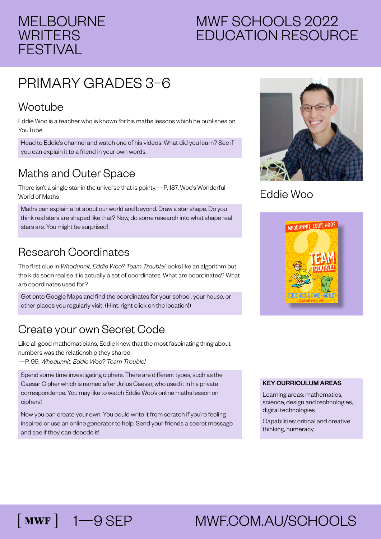#### MELBOURNE **WRITERS** FESTIVAL

### MWF SCHOOLS 2022 EDUCATION RESOURCE

## PRIMARY GRADES 3–6

#### Wootube

 $\lceil$  MWF  $\rceil$ 

Eddie Woo is a teacher who is known for his maths lessons which he publishes on YouTube.

Head to Eddie's channel and watch one of his videos. What did you learn? See if you can explain it to a friend in your own words.

#### Maths and Outer Space

There isn't a single star in the universe that is pointy.—P. 187, Woo's Wonderful World of Maths

Maths can explain a lot about our world and beyond. Draw a star shape. Do you think real stars are shaped like that? Now, do some research into what shape real stars are. You might be surprised!

#### Research Coordinates

The first clue in *Whodunnit, Eddie Woo? Team Trouble!* looks like an algorithm but the kids soon realise it is actually a set of coordinates. What are coordinates? What are coordinates used for?

Get onto Google Maps and find the coordinates for your school, your house, or other places you regularly visit. (Hint: right click on the location!)

#### Create your own Secret Code

Like all good mathematicians, Eddie knew that the most fascinating thing about numbers was the relationship they shared. —P. 99, *Whodunnit, Eddie Woo? Team Trouble!*

Spend some time investigating ciphers. There are different types, such as the Caesar Cipher which is named after Julius Caesar, who used it in his private correspondence. You may like to watch Eddie Woo's online maths lesson on ciphers!

Now you can create your own. You could write it from scratch if you're feeling inspired or use an online generator to help. Send your friends a secret message and see if they can decode it!



#### Eddie Woo



#### KEY CURRICULUM AREAS

Learning areas: mathematics, science, design and technologies, digital technologies

Capabilities: critical and creative thinking, numeracy

# 1—9 SEP MWF.COM.AU/SCHOOLS